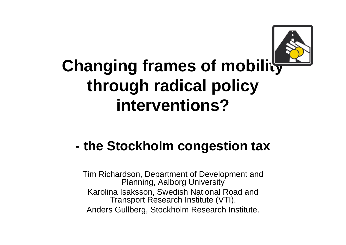

#### **Changing frames of mobility through radical policy interventions?**

#### **- the Stockholm congestion tax**

Tim Richardson, Department of Development and Planning, Aalborg University Karolina Isaksson, Swedish National Road and Transport Research Institute (VTI). Anders Gullberg, Stockholm Research Institute.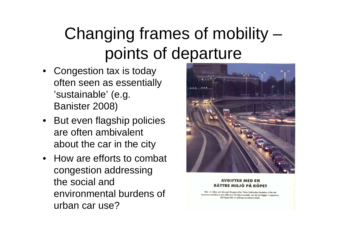## Changing frames of mobility – points of departure

- Congestion tax is today often seen as essentially 'sustainable' (e.g. Banister 2008)
- But even flagship policies are often ambivalent about the car in the city
- How are efforts to combat congestion addressing the social and environmental burdens of urban car use?



#### **BÄTTRE MILJÖ PÅ KÖPET**

När vi väljer att åka på Ringen eller Yttre Tvärleden betalar vi för att komma snabbare och säkrare till våra resmål, var de än ligger i regionen. På köpet får vi allihop en bättre miljö.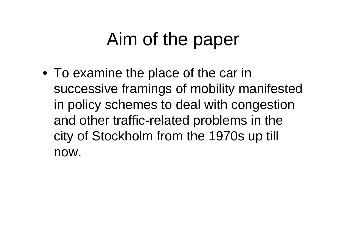## Aim of the paper

• To examine the place of the car in successive framings of mobility manifested in policy schemes to deal with congestion and other traffic-related problems in the city of Stockholm from the 1970s up till now.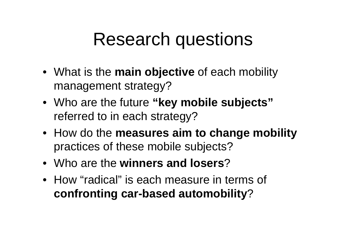## Research questions

- What is the **main objective** of each mobility management strategy?
- Who are the future **"key mobile subjects"**  referred to in each strategy?
- How do the **measures aim to change mobility**  practices of these mobile subjects?
- Who are the **winners and losers**?
- How "radical" is each measure in terms of **confronting car-based automobility** ?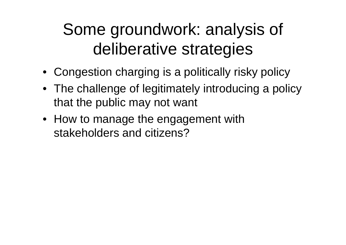## Some groundwork: analysis of deliberative strategies

- Congestion charging is a politically risky policy
- The challenge of legitimately introducing a policy that the public may not want
- How to manage the engagement with stakeholders and citizens?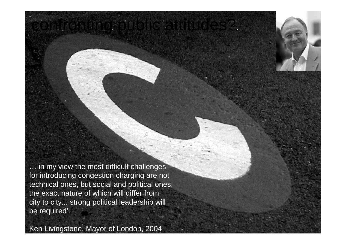… in my view the most difficult challenges for introducing congestion charging are not technical ones, but social and political ones, the exact nature of which will differ from city to city... strong political leadership will be required'.

confronting public attitudes?

Ken Livingstone, Mayor of London, 2004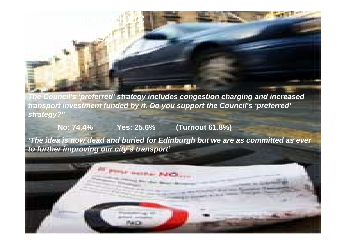*The Council's 'preferred' strategy includes congestion charging and increased transport investment funded by it. Do you support the Council's 'preferred'*  strategy?

**No: 74.4% Yes: 25.6% (Turnout 61.8%)**

or building public

consensus?

*'The idea is now dead and buried for Edinburgh but we are as committed as ever to further improving our city's transport'*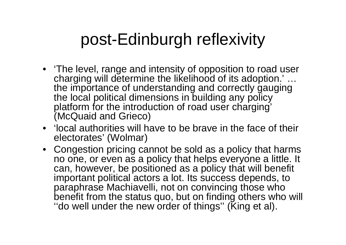#### post-Edinburgh reflexivity

- 'The level, range and intensity of opposition to road user charging will determine the likelihood of its adoption.' … the importance of understanding and correctly gauging the local political dimensions in building any policy platform for the introduction of road user charging' (McQuaid and Grieco)
- 'local authorities will have to be brave in the face of their electorates' (Wolmar)
- Congestion pricing cannot be sold as a policy that harms no one, or even as a policy that helps everyone a little. It can, however, be positioned as a policy that will benefit important political actors a lot. Its success depends, to paraphrase Machiavelli, not on convincing those who benefit from the status quo, but on finding others who will ''do well under the new order of things'' (King et al).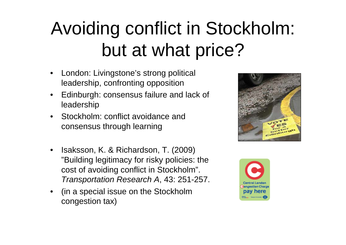## Avoiding conflict in Stockholm: but at what price?

- London: Livingstone's strong political leadership, confronting opposition
- Edinburgh: consensus failure and lack of leadership
- Stockholm: conflict avoidance and consensus through learning
- Isaksson, K. & Richardson, T. (2009) "Building legitimacy for risky policies: the cost of avoiding conflict in Stockholm". *Transportation Research A*, 43: 251-257.
- (in a special issue on the Stockholm congestion tax)



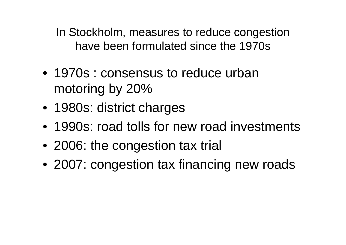In Stockholm, measures to reduce congestion have been formulated since the 1970s

- 1970s : consensus to reduce urban motoring by 20%
- 1980s: district charges
- 1990s: road tolls for new road investments
- 2006: the congestion tax trial
- 2007: congestion tax financing new roads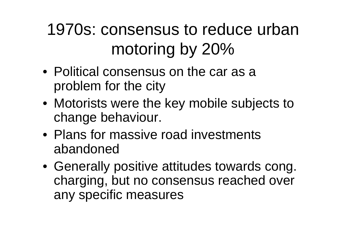## 1970s: consensus to reduce urban motoring by 20%

- Political consensus on the car as a problem for the city
- Motorists were the key mobile subjects to change behaviour.
- Plans for massive road investments abandoned
- Generally positive attitudes towards cong. charging, but no consensus reached over any specific measures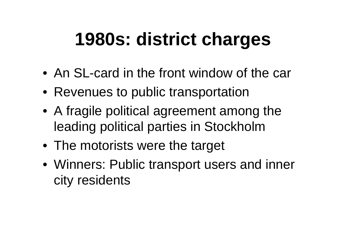# **1980s: district charges**

- An SL-card in the front window of the car
- Revenues to public transportation
- A fragile political agreement among the leading political parties in Stockholm
- The motorists were the target
- Winners: Public transport users and inner city residents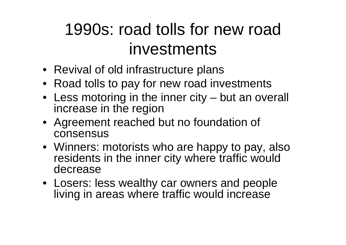## 1990s: road tolls for new road investments

- Revival of old infrastructure plans
- Road tolls to pay for new road investments
- Less motoring in the inner city but an overall increase in the region
- Agreement reached but no foundation of consensus
- Winners: motorists who are happy to pay, also residents in the inner city where traffic would decrease
- Losers: less wealthy car owners and people living in areas where traffic would increase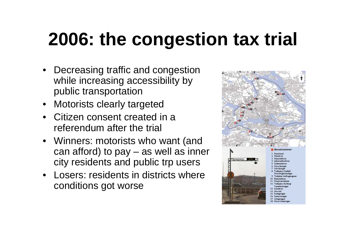# **2006: the congestion tax trial**

- Decreasing traffic and congestion while increasing accessibility by public transportation
- Motorists clearly targeted
- Citizen consent created in a referendum after the trial
- Winners: motorists who want (and can afford) to pay – as well as inner city residents and public trp users
- Losers: residents in districts where conditions got worse

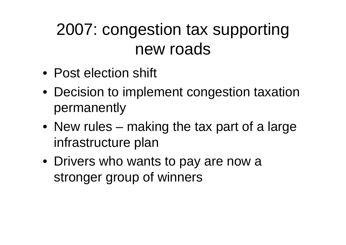#### 2007: congestion tax supporting new roads

- Post election shift
- Decision to implement congestion taxation permanently
- New rules making the tax part of a large infrastructure plan
- Drivers who wants to pay are now a stronger group of winners